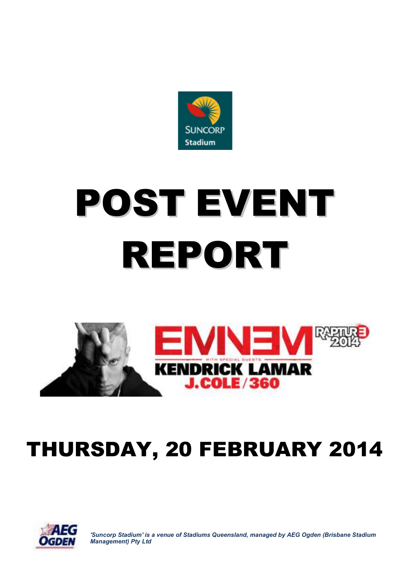

# POST EVENT REPORT



# THURSDAY, 20 FEBRUARY 2014



*'Suncorp Stadium' is a venue of Stadiums Queensland, managed by AEG Ogden (Brisbane Stadium Management) Pty Ltd*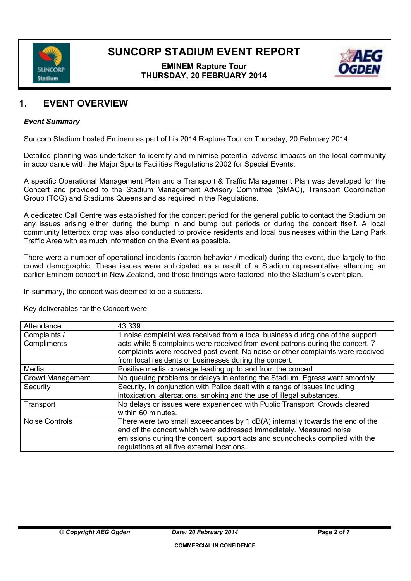

# **EMINEM Rapture Tour THURSDAY, 20 FEBRUARY 2014**



# **1. EVENT OVERVIEW**

### *Event Summary*

Suncorp Stadium hosted Eminem as part of his 2014 Rapture Tour on Thursday, 20 February 2014.

Detailed planning was undertaken to identify and minimise potential adverse impacts on the local community in accordance with the Major Sports Facilities Regulations 2002 for Special Events.

A specific Operational Management Plan and a Transport & Traffic Management Plan was developed for the Concert and provided to the Stadium Management Advisory Committee (SMAC), Transport Coordination Group (TCG) and Stadiums Queensland as required in the Regulations.

A dedicated Call Centre was established for the concert period for the general public to contact the Stadium on any issues arising either during the bump in and bump out periods or during the concert itself. A local community letterbox drop was also conducted to provide residents and local businesses within the Lang Park Traffic Area with as much information on the Event as possible.

There were a number of operational incidents (patron behavior / medical) during the event, due largely to the crowd demographic. These issues were anticipated as a result of a Stadium representative attending an earlier Eminem concert in New Zealand, and those findings were factored into the Stadium's event plan.

In summary, the concert was deemed to be a success.

Key deliverables for the Concert were:

| Attendance            | 43,339                                                                          |
|-----------------------|---------------------------------------------------------------------------------|
| Complaints /          | 1 noise complaint was received from a local business during one of the support  |
| Compliments           | acts while 5 complaints were received from event patrons during the concert. 7  |
|                       | complaints were received post-event. No noise or other complaints were received |
|                       | from local residents or businesses during the concert.                          |
| Media                 | Positive media coverage leading up to and from the concert                      |
| Crowd Management      | No queuing problems or delays in entering the Stadium. Egress went smoothly.    |
| Security              | Security, in conjunction with Police dealt with a range of issues including     |
|                       | intoxication, altercations, smoking and the use of illegal substances.          |
| Transport             | No delays or issues were experienced with Public Transport. Crowds cleared      |
|                       | within 60 minutes.                                                              |
| <b>Noise Controls</b> | There were two small exceedances by 1 dB(A) internally towards the end of the   |
|                       | end of the concert which were addressed immediately. Measured noise             |
|                       | emissions during the concert, support acts and soundchecks complied with the    |
|                       | regulations at all five external locations.                                     |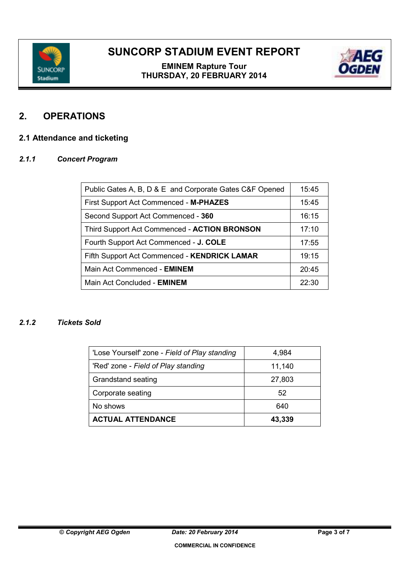

# **EMINEM Rapture Tour THURSDAY, 20 FEBRUARY 2014**



# **2. OPERATIONS**

# **2.1 Attendance and ticketing**

### *2.1.1 Concert Program*

| Public Gates A, B, D & E and Corporate Gates C&F Opened | 15:45 |
|---------------------------------------------------------|-------|
| First Support Act Commenced - M-PHAZES                  | 15:45 |
| Second Support Act Commenced - 360                      | 16:15 |
| Third Support Act Commenced - ACTION BRONSON            | 17:10 |
| Fourth Support Act Commenced - J. COLE                  | 17:55 |
| Fifth Support Act Commenced - KENDRICK LAMAR            | 19:15 |
| Main Act Commenced - EMINEM                             | 20:45 |
| Main Act Concluded - EMINEM                             | 22:30 |

# *2.1.2 Tickets Sold*

| 'Lose Yourself' zone - Field of Play standing | 4,984  |
|-----------------------------------------------|--------|
| 'Red' zone - Field of Play standing           | 11,140 |
| Grandstand seating                            | 27,803 |
| Corporate seating                             | 52     |
| No shows                                      | 640    |
| <b>ACTUAL ATTENDANCE</b>                      | 43,339 |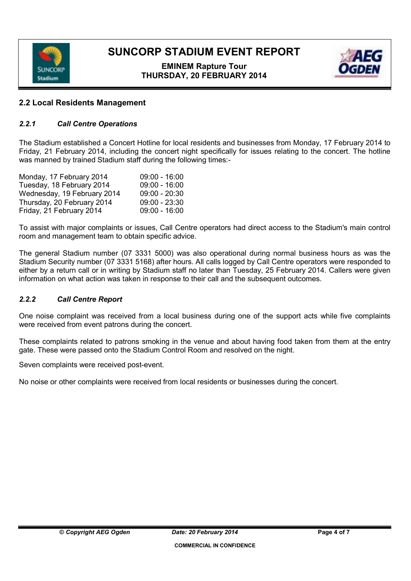

# **EMINEM Rapture Tour THURSDAY, 20 FEBRUARY 2014**



# **2.2 Local Residents Management**

# *2.2.1 Call Centre Operations*

The Stadium established a Concert Hotline for local residents and businesses from Monday, 17 February 2014 to Friday, 21 February 2014, including the concert night specifically for issues relating to the concert. The hotline was manned by trained Stadium staff during the following times:-

| Monday, 17 February 2014    | $09:00 - 16:00$ |
|-----------------------------|-----------------|
| Tuesday, 18 February 2014   | $09:00 - 16:00$ |
| Wednesday, 19 February 2014 | $09:00 - 20:30$ |
| Thursday, 20 February 2014  | $09:00 - 23:30$ |
| Friday, 21 February 2014    | $09:00 - 16:00$ |

To assist with major complaints or issues, Call Centre operators had direct access to the Stadium's main control room and management team to obtain specific advice.

The general Stadium number (07 3331 5000) was also operational during normal business hours as was the Stadium Security number (07 3331 5168) after hours. All calls logged by Call Centre operators were responded to either by a return call or in writing by Stadium staff no later than Tuesday, 25 February 2014. Callers were given information on what action was taken in response to their call and the subsequent outcomes.

### *2.2.2 Call Centre Report*

One noise complaint was received from a local business during one of the support acts while five complaints were received from event patrons during the concert.

These complaints related to patrons smoking in the venue and about having food taken from them at the entry gate. These were passed onto the Stadium Control Room and resolved on the night.

Seven complaints were received post-event.

No noise or other complaints were received from local residents or businesses during the concert.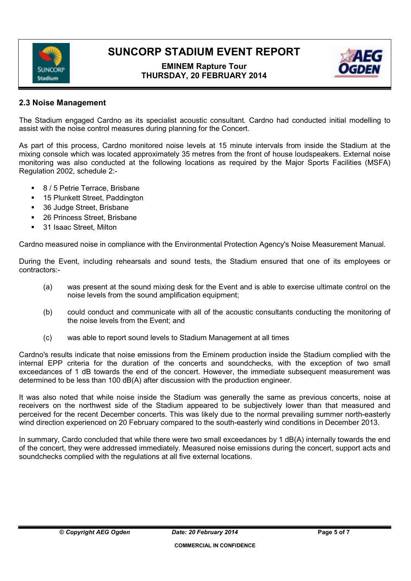

# **EMINEM Rapture Tour THURSDAY, 20 FEBRUARY 2014**



# **2.3 Noise Management**

The Stadium engaged Cardno as its specialist acoustic consultant. Cardno had conducted initial modelling to assist with the noise control measures during planning for the Concert.

As part of this process, Cardno monitored noise levels at 15 minute intervals from inside the Stadium at the mixing console which was located approximately 35 metres from the front of house loudspeakers. External noise monitoring was also conducted at the following locations as required by the Major Sports Facilities (MSFA) Regulation 2002, schedule 2:-

- 8 / 5 Petrie Terrace, Brisbane
- 15 Plunkett Street, Paddington
- 36 Judge Street, Brisbane
- 26 Princess Street, Brisbane
- 31 Isaac Street, Milton

Cardno measured noise in compliance with the Environmental Protection Agency's Noise Measurement Manual.

During the Event, including rehearsals and sound tests, the Stadium ensured that one of its employees or contractors:-

- (a) was present at the sound mixing desk for the Event and is able to exercise ultimate control on the noise levels from the sound amplification equipment;
- (b) could conduct and communicate with all of the acoustic consultants conducting the monitoring of the noise levels from the Event; and
- (c) was able to report sound levels to Stadium Management at all times

Cardno's results indicate that noise emissions from the Eminem production inside the Stadium complied with the internal EPP criteria for the duration of the concerts and soundchecks, with the exception of two small exceedances of 1 dB towards the end of the concert. However, the immediate subsequent measurement was determined to be less than 100 dB(A) after discussion with the production engineer.

It was also noted that while noise inside the Stadium was generally the same as previous concerts, noise at receivers on the northwest side of the Stadium appeared to be subjectively lower than that measured and perceived for the recent December concerts. This was likely due to the normal prevailing summer north-easterly wind direction experienced on 20 February compared to the south-easterly wind conditions in December 2013.

In summary, Cardo concluded that while there were two small exceedances by 1 dB(A) internally towards the end of the concert, they were addressed immediately. Measured noise emissions during the concert, support acts and soundchecks complied with the regulations at all five external locations.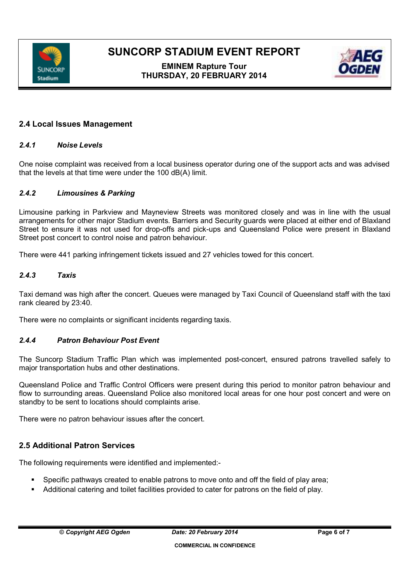

# **EMINEM Rapture Tour THURSDAY, 20 FEBRUARY 2014**



# **2.4 Local Issues Management**

### *2.4.1 Noise Levels*

One noise complaint was received from a local business operator during one of the support acts and was advised that the levels at that time were under the 100 dB(A) limit.

### *2.4.2 Limousines & Parking*

Limousine parking in Parkview and Mayneview Streets was monitored closely and was in line with the usual arrangements for other major Stadium events. Barriers and Security guards were placed at either end of Blaxland Street to ensure it was not used for drop-offs and pick-ups and Queensland Police were present in Blaxland Street post concert to control noise and patron behaviour.

There were 441 parking infringement tickets issued and 27 vehicles towed for this concert.

### *2.4.3 Taxis*

Taxi demand was high after the concert. Queues were managed by Taxi Council of Queensland staff with the taxi rank cleared by 23:40.

There were no complaints or significant incidents regarding taxis.

### *2.4.4 Patron Behaviour Post Event*

The Suncorp Stadium Traffic Plan which was implemented post-concert, ensured patrons travelled safely to major transportation hubs and other destinations.

Queensland Police and Traffic Control Officers were present during this period to monitor patron behaviour and flow to surrounding areas. Queensland Police also monitored local areas for one hour post concert and were on standby to be sent to locations should complaints arise.

There were no patron behaviour issues after the concert.

# **2.5 Additional Patron Services**

The following requirements were identified and implemented:-

- Specific pathways created to enable patrons to move onto and off the field of play area;
- Additional catering and toilet facilities provided to cater for patrons on the field of play.